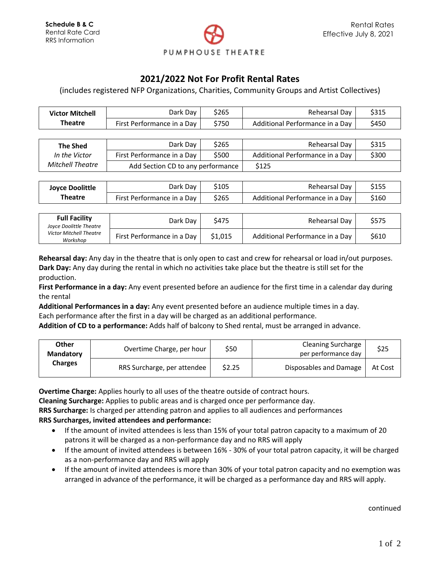

## **2021/2022 Not For Profit Rental Rates**

(includes registered NFP Organizations, Charities, Community Groups and Artist Collectives)

| <b>Victor Mitchell</b> | Dark Day                     | \$265 | Rehearsal Day                     | \$315 |
|------------------------|------------------------------|-------|-----------------------------------|-------|
| Theatre                | First Performance in a Day 1 | \$750 | Additional Performance in a Day 1 | \$450 |

| <b>The Shed</b>         | Dark Dav                          | \$265 | Rehearsal Day                   | \$315 |
|-------------------------|-----------------------------------|-------|---------------------------------|-------|
| In the Victor           | First Performance in a Day        | \$500 | Additional Performance in a Day | \$300 |
| <b>Mitchell Theatre</b> | Add Section CD to any performance |       | \$125                           |       |

| <b>Joyce Doolittle</b> | Dark Day                     | \$105 | Rehearsal Day                   | \$155 |
|------------------------|------------------------------|-------|---------------------------------|-------|
| <b>Theatre</b>         | First Performance in a Day ' | \$265 | Additional Performance in a Day | \$160 |

| <b>Full Facility</b><br>Joyce Doolittle Theatre<br><b>Victor Mitchell Theatre</b><br>Workshop | Dark Day                   | \$475   | Rehearsal Day                   | \$575 |
|-----------------------------------------------------------------------------------------------|----------------------------|---------|---------------------------------|-------|
|                                                                                               | First Performance in a Day | \$1,015 | Additional Performance in a Day | \$610 |

**Rehearsal day:** Any day in the theatre that is only open to cast and crew for rehearsal or load in/out purposes. **Dark Day:** Any day during the rental in which no activities take place but the theatre is still set for the production.

**First Performance in a day:** Any event presented before an audience for the first time in a calendar day during the rental

**Additional Performances in a day:** Any event presented before an audience multiple times in a day. Each performance after the first in a day will be charged as an additional performance.

**Addition of CD to a performance:** Adds half of balcony to Shed rental, must be arranged in advance.

| Other<br><b>Mandatory</b><br><b>Charges</b> | Overtime Charge, per hour   | S50    | <b>Cleaning Surcharge</b><br>per performance day | \$25    |
|---------------------------------------------|-----------------------------|--------|--------------------------------------------------|---------|
|                                             | RRS Surcharge, per attendee | \$2.25 | Disposables and Damage                           | At Cost |

**Overtime Charge:** Applies hourly to all uses of the theatre outside of contract hours.

**Cleaning Surcharge:** Applies to public areas and is charged once per performance day.

**RRS Surcharge:** Is charged per attending patron and applies to all audiences and performances

## **RRS Surcharges, invited attendees and performance:**

- If the amount of invited attendees is less than 15% of your total patron capacity to a maximum of 20 patrons it will be charged as a non-performance day and no RRS will apply
- If the amount of invited attendees is between 16% 30% of your total patron capacity, it will be charged as a non-performance day and RRS will apply
- If the amount of invited attendees is more than 30% of your total patron capacity and no exemption was arranged in advance of the performance, it will be charged as a performance day and RRS will apply.

continued